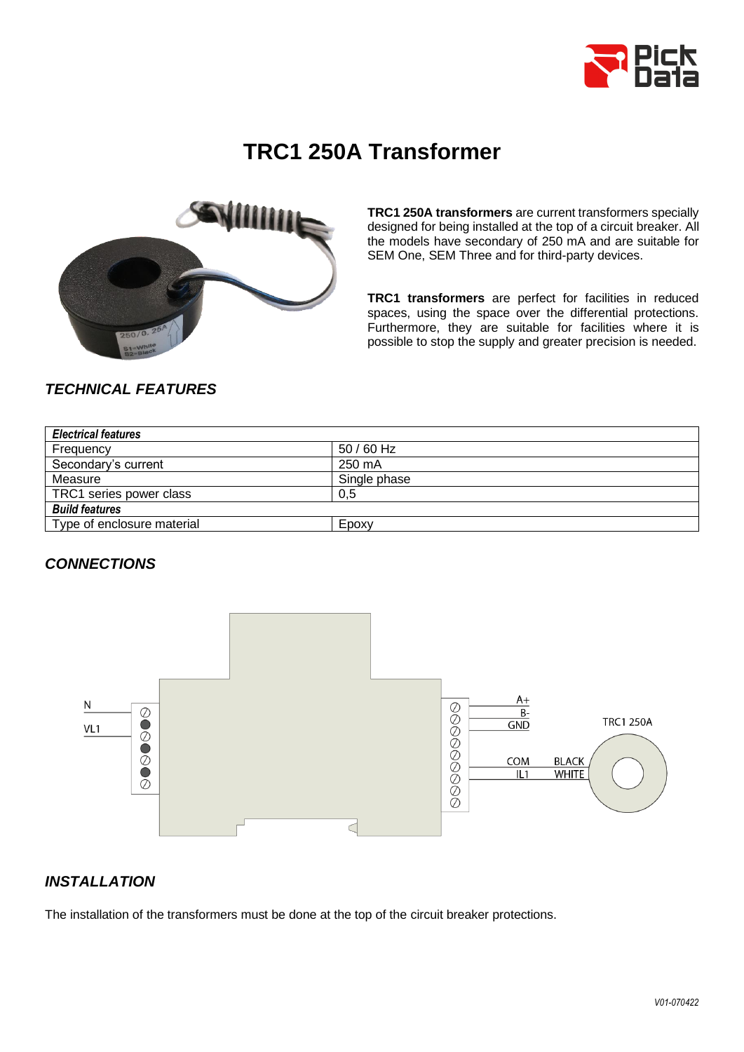

# **TRC1 250A Transformer**



**TRC1 250A transformers** are current transformers specially designed for being installed at the top of a circuit breaker. All the models have secondary of 250 mA and are suitable for SEM One, SEM Three and for third-party devices.

**TRC1 transformers** are perfect for facilities in reduced spaces, using the space over the differential protections. Furthermore, they are suitable for facilities where it is possible to stop the supply and greater precision is needed.

# *TECHNICAL FEATURES*

| <b>Electrical features</b> |              |
|----------------------------|--------------|
| Frequency                  | $50/60$ Hz   |
| Secondary's current        | 250 mA       |
| Measure                    | Single phase |
| TRC1 series power class    | 0.5          |
| <b>Build features</b>      |              |
| Type of enclosure material | Epoxy        |

### *CONNECTIONS*



### *INSTALLATION*

The installation of the transformers must be done at the top of the circuit breaker protections.